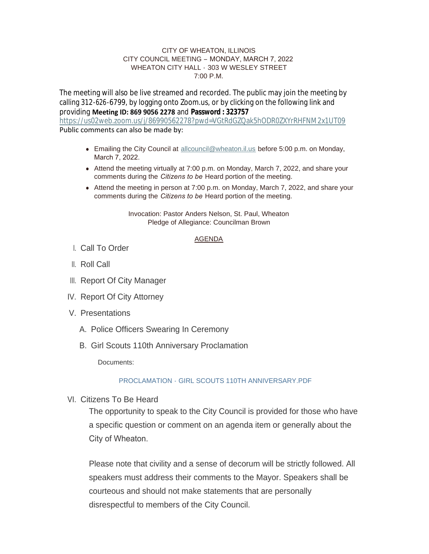#### CITY OF WHEATON, ILLINOIS CITY COUNCIL MEETING – MONDAY, MARCH 7, 2022 WHEATON CITY HALL - 303 W WESLEY STREET  $7:00 \text{ P M}$

The meeting will also be live streamed and recorded. The public may join the meeting by calling 312-626-6799, by logging onto Zoom.us, or by clicking on the following link and providing **Meeting ID: 869 9056 2278** and **Password : 323757** <https://us02web.zoom.us/j/86990562278?pwd=VGtRdGZQak5hODR0ZXYrRHFNM2x1UT09> Public comments can also be made by:

- Emailing the City Council at [allcouncil@wheaton.il.us](mailto:allcouncil@wheaton.il.us) before 5:00 p.m. on Monday, March 7, 2022.
- $\bullet$  Attend the meeting virtually at 7:00 p.m. on Monday, March 7, 2022, and share your comments during the *Citizens to be* Heard portion of the meeting.
- Attend the meeting in person at 7:00 p.m. on Monday, March 7, 2022, and share your comments during the *Citizens to be* Heard portion of the meeting.

Invocation: Pastor Anders Nelson, St. Paul, Wheaton Pledge of Allegiance: Councilman Brown

#### AGENDA

- Call To Order I.
- ll. Roll Call
- III. Report Of City Manager
- IV. Report Of City Attorney
- V. Presentations
	- A. Police Officers Swearing In Ceremony
	- B. Girl Scouts 110th Anniversary Proclamation

Documents:

## [PROCLAMATION - GIRL SCOUTS 110TH ANNIVERSARY.PDF](https://www.wheaton.il.us/AgendaCenter/ViewFile/Item/8563?fileID=11038)

VI. Citizens To Be Heard

The opportunity to speak to the City Council is provided for those who have a specific question or comment on an agenda item or generally about the City of Wheaton.

Please note that civility and a sense of decorum will be strictly followed. All speakers must address their comments to the Mayor. Speakers shall be courteous and should not make statements that are personally disrespectful to members of the City Council.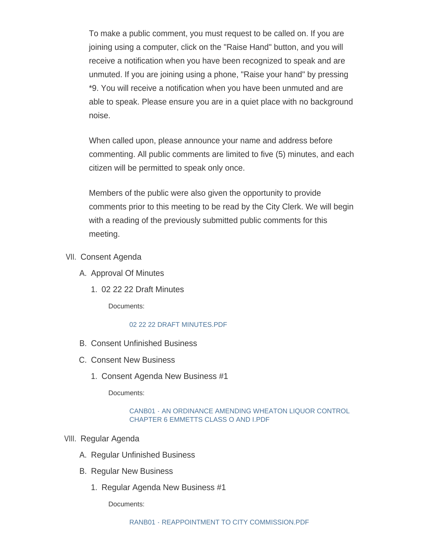To make a public comment, you must request to be called on. If you are joining using a computer, click on the "Raise Hand" button, and you will receive a notification when you have been recognized to speak and are unmuted. If you are joining using a phone, "Raise your hand" by pressing \*9. You will receive a notification when you have been unmuted and are able to speak. Please ensure you are in a quiet place with no background noise.

When called upon, please announce your name and address before commenting. All public comments are limited to five (5) minutes, and each citizen will be permitted to speak only once.

Members of the public were also given the opportunity to provide comments prior to this meeting to be read by the City Clerk. We will begin with a reading of the previously submitted public comments for this meeting.

- VII. Consent Agenda
	- A. Approval Of Minutes
		- 02 22 22 Draft Minutes 1.

Documents:

## [02 22 22 DRAFT MINUTES.PDF](https://www.wheaton.il.us/AgendaCenter/ViewFile/Item/8567?fileID=11039)

- B. Consent Unfinished Business
- C. Consent New Business
	- 1. Consent Agenda New Business #1

Documents:

### [CANB01 - AN ORDINANCE AMENDING WHEATON LIQUOR CONTROL](https://www.wheaton.il.us/AgendaCenter/ViewFile/Item/8570?fileID=11040)  CHAPTER 6 EMMETTS CLASS O AND I.PDF

# VIII. Regular Agenda

- A. Regular Unfinished Business
- **B. Regular New Business** 
	- 1. Regular Agenda New Business #1

Documents: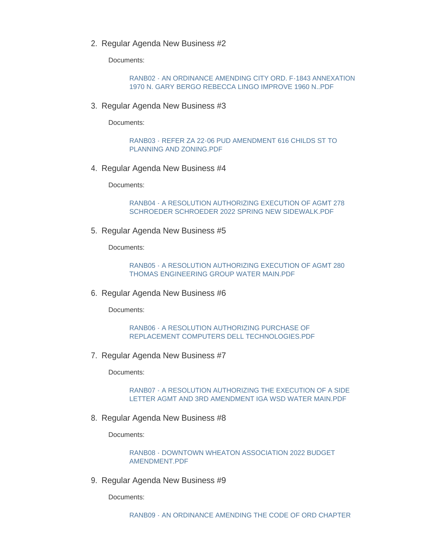2. Regular Agenda New Business #2

Documents:

[RANB02 - AN ORDINANCE AMENDING CITY ORD. F-1843 ANNEXATION](https://www.wheaton.il.us/AgendaCenter/ViewFile/Item/8575?fileID=11042)  1970 N. GARY BERGO REBECCA LINGO IMPROVE 1960 N..PDF

3. Regular Agenda New Business #3

Documents:

[RANB03 - REFER ZA 22-06 PUD AMENDMENT 616 CHILDS ST TO](https://www.wheaton.il.us/AgendaCenter/ViewFile/Item/8576?fileID=11043)  PLANNING AND ZONING.PDF

4. Regular Agenda New Business #4

Documents:

[RANB04 - A RESOLUTION AUTHORIZING EXECUTION OF AGMT 278](https://www.wheaton.il.us/AgendaCenter/ViewFile/Item/8577?fileID=11044)  SCHROEDER SCHROEDER 2022 SPRING NEW SIDEWALK.PDF

5. Regular Agenda New Business #5

Documents:

[RANB05 - A RESOLUTION AUTHORIZING EXECUTION OF AGMT 280](https://www.wheaton.il.us/AgendaCenter/ViewFile/Item/8578?fileID=11045)  THOMAS ENGINEERING GROUP WATER MAIN.PDF

6. Regular Agenda New Business #6

Documents:

RANB06 - A RESOLUTION AUTHORIZING PURCHASE OF [REPLACEMENT COMPUTERS DELL TECHNOLOGIES.PDF](https://www.wheaton.il.us/AgendaCenter/ViewFile/Item/8579?fileID=11046)

7. Regular Agenda New Business #7

Documents:

[RANB07 - A RESOLUTION AUTHORIZING THE EXECUTION OF A SIDE](https://www.wheaton.il.us/AgendaCenter/ViewFile/Item/8580?fileID=11047)  LETTER AGMT AND 3RD AMENDMENT IGA WSD WATER MAIN.PDF

8. Regular Agenda New Business #8

Documents:

[RANB08 - DOWNTOWN WHEATON ASSOCIATION 2022 BUDGET](https://www.wheaton.il.us/AgendaCenter/ViewFile/Item/8581?fileID=11048)  AMENDMENT.PDF

9. Regular Agenda New Business #9

Documents: